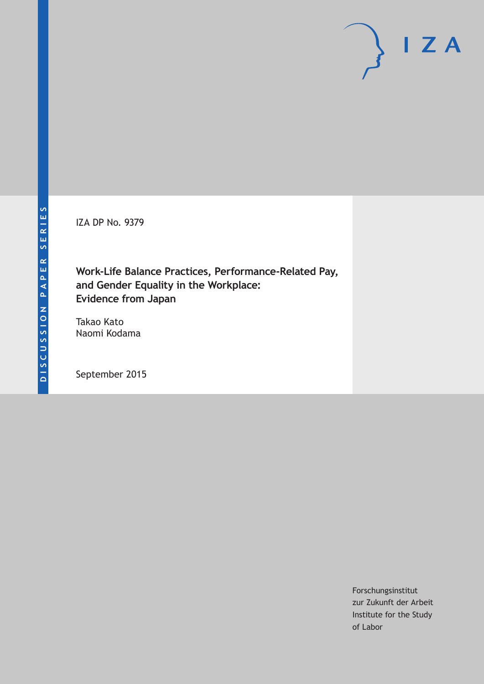IZA DP No. 9379

**Work-Life Balance Practices, Performance-Related Pay, and Gender Equality in the Workplace: Evidence from Japan**

Takao Kato Naomi Kodama

September 2015

Forschungsinstitut zur Zukunft der Arbeit Institute for the Study of Labor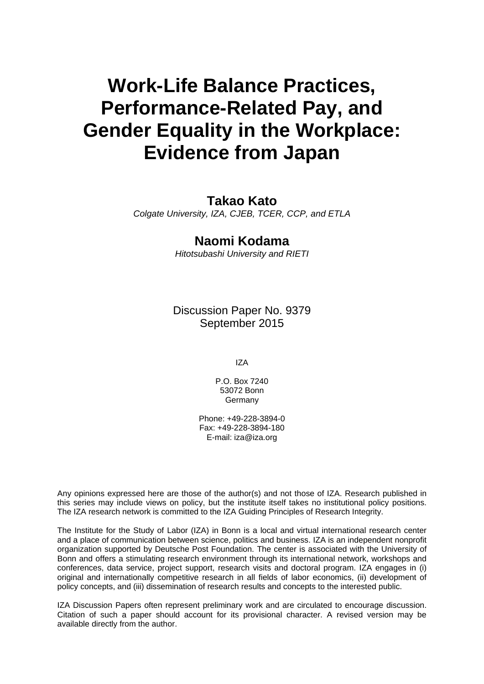# **Work-Life Balance Practices, Performance-Related Pay, and Gender Equality in the Workplace: Evidence from Japan**

### **Takao Kato**

*Colgate University, IZA, CJEB, TCER, CCP, and ETLA* 

## **Naomi Kodama**

*Hitotsubashi University and RIETI* 

Discussion Paper No. 9379 September 2015

IZA

P.O. Box 7240 53072 Bonn Germany

Phone: +49-228-3894-0 Fax: +49-228-3894-180 E-mail: iza@iza.org

Any opinions expressed here are those of the author(s) and not those of IZA. Research published in this series may include views on policy, but the institute itself takes no institutional policy positions. The IZA research network is committed to the IZA Guiding Principles of Research Integrity.

The Institute for the Study of Labor (IZA) in Bonn is a local and virtual international research center and a place of communication between science, politics and business. IZA is an independent nonprofit organization supported by Deutsche Post Foundation. The center is associated with the University of Bonn and offers a stimulating research environment through its international network, workshops and conferences, data service, project support, research visits and doctoral program. IZA engages in (i) original and internationally competitive research in all fields of labor economics, (ii) development of policy concepts, and (iii) dissemination of research results and concepts to the interested public.

IZA Discussion Papers often represent preliminary work and are circulated to encourage discussion. Citation of such a paper should account for its provisional character. A revised version may be available directly from the author.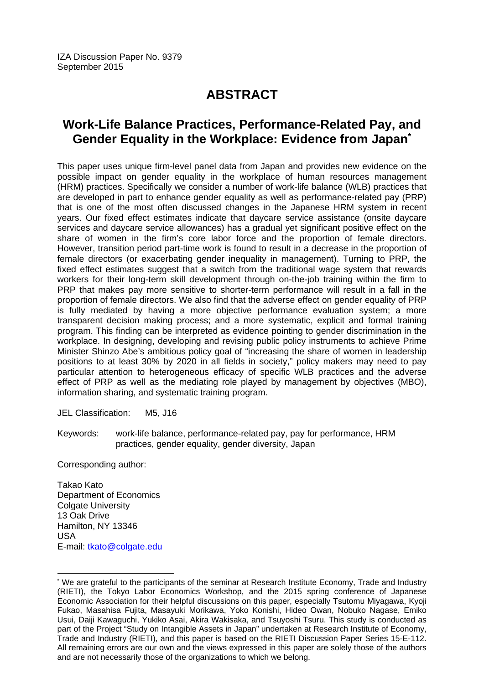# **ABSTRACT**

# **Work-Life Balance Practices, Performance-Related Pay, and Gender Equality in the Workplace: Evidence from Japan\***

This paper uses unique firm-level panel data from Japan and provides new evidence on the possible impact on gender equality in the workplace of human resources management (HRM) practices. Specifically we consider a number of work-life balance (WLB) practices that are developed in part to enhance gender equality as well as performance-related pay (PRP) that is one of the most often discussed changes in the Japanese HRM system in recent years. Our fixed effect estimates indicate that daycare service assistance (onsite daycare services and daycare service allowances) has a gradual yet significant positive effect on the share of women in the firm's core labor force and the proportion of female directors. However, transition period part-time work is found to result in a decrease in the proportion of female directors (or exacerbating gender inequality in management). Turning to PRP, the fixed effect estimates suggest that a switch from the traditional wage system that rewards workers for their long-term skill development through on-the-job training within the firm to PRP that makes pay more sensitive to shorter-term performance will result in a fall in the proportion of female directors. We also find that the adverse effect on gender equality of PRP is fully mediated by having a more objective performance evaluation system; a more transparent decision making process; and a more systematic, explicit and formal training program. This finding can be interpreted as evidence pointing to gender discrimination in the workplace. In designing, developing and revising public policy instruments to achieve Prime Minister Shinzo Abe's ambitious policy goal of "increasing the share of women in leadership positions to at least 30% by 2020 in all fields in society," policy makers may need to pay particular attention to heterogeneous efficacy of specific WLB practices and the adverse effect of PRP as well as the mediating role played by management by objectives (MBO), information sharing, and systematic training program.

JEL Classification: M5, J16

Keywords: work-life balance, performance-related pay, pay for performance, HRM practices, gender equality, gender diversity, Japan

Corresponding author:

Takao Kato Department of Economics Colgate University 13 Oak Drive Hamilton, NY 13346 USA E-mail: tkato@colgate.edu

 $\overline{\phantom{a}}$ 

<sup>\*</sup> We are grateful to the participants of the seminar at Research Institute Economy, Trade and Industry (RIETI), the Tokyo Labor Economics Workshop, and the 2015 spring conference of Japanese Economic Association for their helpful discussions on this paper, especially Tsutomu Miyagawa, Kyoji Fukao, Masahisa Fujita, Masayuki Morikawa, Yoko Konishi, Hideo Owan, Nobuko Nagase, Emiko Usui, Daiji Kawaguchi, Yukiko Asai, Akira Wakisaka, and Tsuyoshi Tsuru. This study is conducted as part of the Project "Study on Intangible Assets in Japan" undertaken at Research Institute of Economy, Trade and Industry (RIETI), and this paper is based on the RIETI Discussion Paper Series 15-E-112. All remaining errors are our own and the views expressed in this paper are solely those of the authors and are not necessarily those of the organizations to which we belong.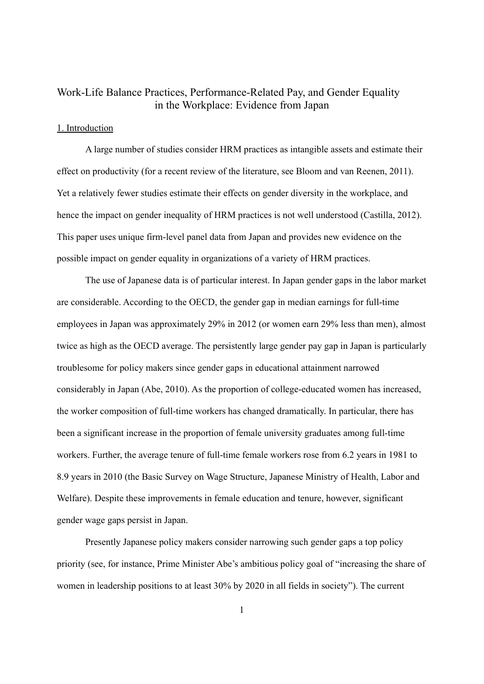### Work-Life Balance Practices, Performance-Related Pay, and Gender Equality in the Workplace: Evidence from Japan

#### 1. Introduction

A large number of studies consider HRM practices as intangible assets and estimate their effect on productivity (for a recent review of the literature, see Bloom and van Reenen, 2011). Yet a relatively fewer studies estimate their effects on gender diversity in the workplace, and hence the impact on gender inequality of HRM practices is not well understood (Castilla, 2012). This paper uses unique firm-level panel data from Japan and provides new evidence on the possible impact on gender equality in organizations of a variety of HRM practices.

The use of Japanese data is of particular interest. In Japan gender gaps in the labor market are considerable. According to the OECD, the gender gap in median earnings for full-time employees in Japan was approximately 29% in 2012 (or women earn 29% less than men), almost twice as high as the OECD average. The persistently large gender pay gap in Japan is particularly troublesome for policy makers since gender gaps in educational attainment narrowed considerably in Japan (Abe, 2010). As the proportion of college-educated women has increased, the worker composition of full-time workers has changed dramatically. In particular, there has been a significant increase in the proportion of female university graduates among full-time workers. Further, the average tenure of full-time female workers rose from 6.2 years in 1981 to 8.9 years in 2010 (the Basic Survey on Wage Structure, Japanese Ministry of Health, Labor and Welfare). Despite these improvements in female education and tenure, however, significant gender wage gaps persist in Japan.

Presently Japanese policy makers consider narrowing such gender gaps a top policy priority (see, for instance, Prime Minister Abe's ambitious policy goal of "increasing the share of women in leadership positions to at least 30% by 2020 in all fields in society"). The current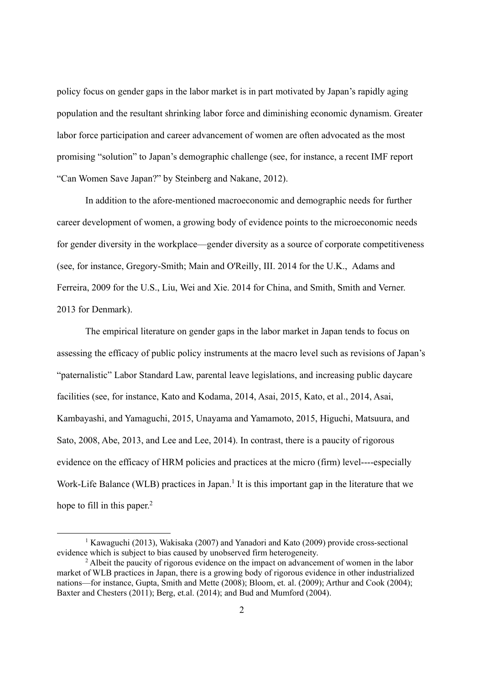policy focus on gender gaps in the labor market is in part motivated by Japan's rapidly aging population and the resultant shrinking labor force and diminishing economic dynamism. Greater labor force participation and career advancement of women are often advocated as the most promising "solution" to Japan's demographic challenge (see, for instance, a recent IMF report "Can Women Save Japan?" by Steinberg and Nakane, 2012).

In addition to the afore-mentioned macroeconomic and demographic needs for further career development of women, a growing body of evidence points to the microeconomic needs for gender diversity in the workplace—gender diversity as a source of corporate competitiveness (see, for instance, Gregory-Smith; Main and O'Reilly, III. 2014 for the U.K., Adams and Ferreira, 2009 for the U.S., Liu, Wei and Xie. 2014 for China, and Smith, Smith and Verner. 2013 for Denmark).

The empirical literature on gender gaps in the labor market in Japan tends to focus on assessing the efficacy of public policy instruments at the macro level such as revisions of Japan's "paternalistic" Labor Standard Law, parental leave legislations, and increasing public daycare facilities (see, for instance, Kato and Kodama, 2014, Asai, 2015, Kato, et al., 2014, Asai, Kambayashi, and Yamaguchi, 2015, Unayama and Yamamoto, 2015, Higuchi, Matsuura, and Sato, 2008, Abe, 2013, and Lee and Lee, 2014). In contrast, there is a paucity of rigorous evidence on the efficacy of HRM policies and practices at the micro (firm) level----especially Work-Life Balance (WLB) practices in Japan.<sup>1</sup> It is this important gap in the literature that we hope to fill in this paper. $<sup>2</sup>$ </sup>

 $\begin{array}{c|c}\n\hline\n\end{array}$ <sup>1</sup> Kawaguchi (2013), Wakisaka (2007) and Yanadori and Kato (2009) provide cross-sectional evidence which is subject to bias caused by unobserved firm heterogeneity.

 $2$  Albeit the paucity of rigorous evidence on the impact on advancement of women in the labor market of WLB practices in Japan, there is a growing body of rigorous evidence in other industrialized nations—for instance, Gupta, Smith and Mette (2008); Bloom, et. al. (2009); Arthur and Cook (2004); Baxter and Chesters (2011); Berg, et.al. (2014); and Bud and Mumford (2004).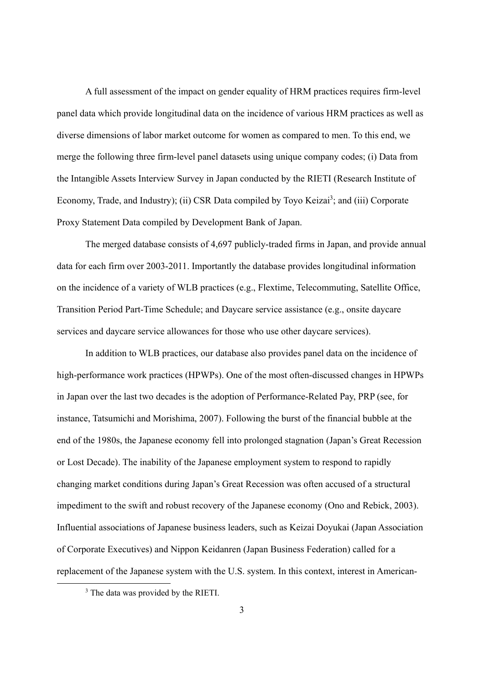A full assessment of the impact on gender equality of HRM practices requires firm-level panel data which provide longitudinal data on the incidence of various HRM practices as well as diverse dimensions of labor market outcome for women as compared to men. To this end, we merge the following three firm-level panel datasets using unique company codes; (i) Data from the Intangible Assets Interview Survey in Japan conducted by the RIETI (Research Institute of Economy, Trade, and Industry); (ii) CSR Data compiled by Toyo Keizai<sup>3</sup>; and (iii) Corporate Proxy Statement Data compiled by Development Bank of Japan.

The merged database consists of 4,697 publicly-traded firms in Japan, and provide annual data for each firm over 2003-2011. Importantly the database provides longitudinal information on the incidence of a variety of WLB practices (e.g., Flextime, Telecommuting, Satellite Office, Transition Period Part-Time Schedule; and Daycare service assistance (e.g., onsite daycare services and daycare service allowances for those who use other daycare services).

In addition to WLB practices, our database also provides panel data on the incidence of high-performance work practices (HPWPs). One of the most often-discussed changes in HPWPs in Japan over the last two decades is the adoption of Performance-Related Pay, PRP (see, for instance, Tatsumichi and Morishima, 2007). Following the burst of the financial bubble at the end of the 1980s, the Japanese economy fell into prolonged stagnation (Japan's Great Recession or Lost Decade). The inability of the Japanese employment system to respond to rapidly changing market conditions during Japan's Great Recession was often accused of a structural impediment to the swift and robust recovery of the Japanese economy (Ono and Rebick, 2003). Influential associations of Japanese business leaders, such as Keizai Doyukai (Japan Association of Corporate Executives) and Nippon Keidanren (Japan Business Federation) called for a replacement of the Japanese system with the U.S. system. In this context, interest in American-

 $\frac{1}{3}$ <sup>3</sup> The data was provided by the RIETI.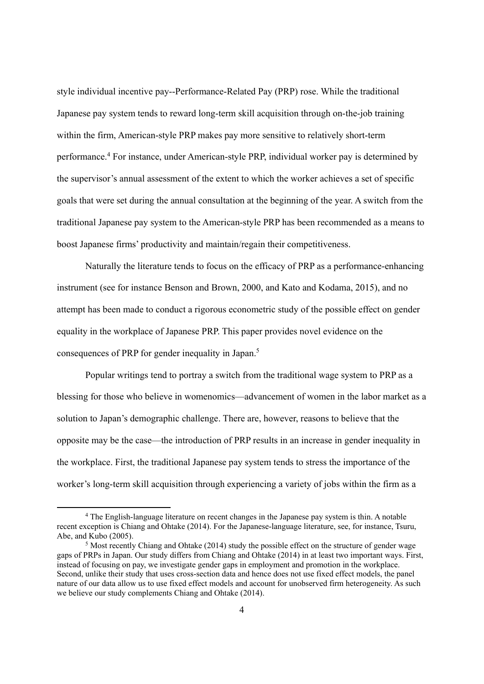style individual incentive pay--Performance-Related Pay (PRP) rose. While the traditional Japanese pay system tends to reward long-term skill acquisition through on-the-job training within the firm, American-style PRP makes pay more sensitive to relatively short-term performance.<sup>4</sup> For instance, under American-style PRP, individual worker pay is determined by the supervisor's annual assessment of the extent to which the worker achieves a set of specific goals that were set during the annual consultation at the beginning of the year. A switch from the traditional Japanese pay system to the American-style PRP has been recommended as a means to boost Japanese firms' productivity and maintain/regain their competitiveness.

Naturally the literature tends to focus on the efficacy of PRP as a performance-enhancing instrument (see for instance Benson and Brown, 2000, and Kato and Kodama, 2015), and no attempt has been made to conduct a rigorous econometric study of the possible effect on gender equality in the workplace of Japanese PRP. This paper provides novel evidence on the consequences of PRP for gender inequality in Japan.<sup>5</sup>

Popular writings tend to portray a switch from the traditional wage system to PRP as a blessing for those who believe in womenomics—advancement of women in the labor market as a solution to Japan's demographic challenge. There are, however, reasons to believe that the opposite may be the case—the introduction of PRP results in an increase in gender inequality in the workplace. First, the traditional Japanese pay system tends to stress the importance of the worker's long-term skill acquisition through experiencing a variety of jobs within the firm as a

 <sup>4</sup> The English-language literature on recent changes in the Japanese pay system is thin. A notable recent exception is Chiang and Ohtake (2014). For the Japanese-language literature, see, for instance, Tsuru, Abe, and Kubo (2005).

<sup>5</sup> Most recently Chiang and Ohtake (2014) study the possible effect on the structure of gender wage gaps of PRPs in Japan. Our study differs from Chiang and Ohtake (2014) in at least two important ways. First, instead of focusing on pay, we investigate gender gaps in employment and promotion in the workplace. Second, unlike their study that uses cross-section data and hence does not use fixed effect models, the panel nature of our data allow us to use fixed effect models and account for unobserved firm heterogeneity. As such we believe our study complements Chiang and Ohtake (2014).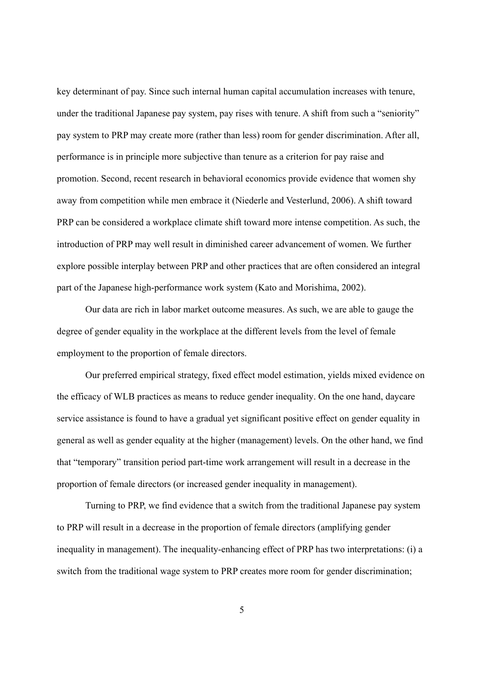key determinant of pay. Since such internal human capital accumulation increases with tenure, under the traditional Japanese pay system, pay rises with tenure. A shift from such a "seniority" pay system to PRP may create more (rather than less) room for gender discrimination. After all, performance is in principle more subjective than tenure as a criterion for pay raise and promotion. Second, recent research in behavioral economics provide evidence that women shy away from competition while men embrace it (Niederle and Vesterlund, 2006). A shift toward PRP can be considered a workplace climate shift toward more intense competition. As such, the introduction of PRP may well result in diminished career advancement of women. We further explore possible interplay between PRP and other practices that are often considered an integral part of the Japanese high-performance work system (Kato and Morishima, 2002).

Our data are rich in labor market outcome measures. As such, we are able to gauge the degree of gender equality in the workplace at the different levels from the level of female employment to the proportion of female directors.

Our preferred empirical strategy, fixed effect model estimation, yields mixed evidence on the efficacy of WLB practices as means to reduce gender inequality. On the one hand, daycare service assistance is found to have a gradual yet significant positive effect on gender equality in general as well as gender equality at the higher (management) levels. On the other hand, we find that "temporary" transition period part-time work arrangement will result in a decrease in the proportion of female directors (or increased gender inequality in management).

Turning to PRP, we find evidence that a switch from the traditional Japanese pay system to PRP will result in a decrease in the proportion of female directors (amplifying gender inequality in management). The inequality-enhancing effect of PRP has two interpretations: (i) a switch from the traditional wage system to PRP creates more room for gender discrimination;

5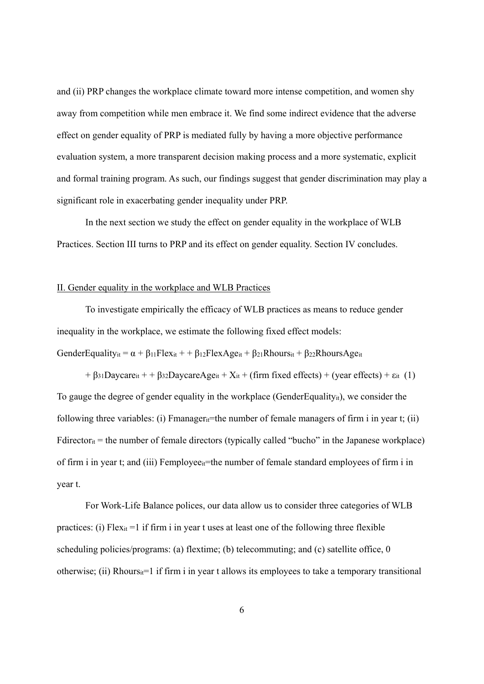and (ii) PRP changes the workplace climate toward more intense competition, and women shy away from competition while men embrace it. We find some indirect evidence that the adverse effect on gender equality of PRP is mediated fully by having a more objective performance evaluation system, a more transparent decision making process and a more systematic, explicit and formal training program. As such, our findings suggest that gender discrimination may play a significant role in exacerbating gender inequality under PRP.

In the next section we study the effect on gender equality in the workplace of WLB Practices. Section III turns to PRP and its effect on gender equality. Section IV concludes.

#### II. Gender equality in the workplace and WLB Practices

 To investigate empirically the efficacy of WLB practices as means to reduce gender inequality in the workplace, we estimate the following fixed effect models:

GenderEquality<sub>it</sub> =  $\alpha$  +  $\beta_{11}$ Flex<sub>it</sub> + +  $\beta_{12}$ FlexAge<sub>it</sub> +  $\beta_{21}$ Rhours<sub>it</sub> +  $\beta_{22}$ RhoursAge<sub>it</sub>

+  $\beta$ 31Daycare<sub>it</sub> + +  $\beta$ 32DaycareAge<sub>it</sub> + X<sub>it</sub> + (firm fixed effects) + (year effects) +  $\varepsilon$ <sub>it</sub> (1) To gauge the degree of gender equality in the workplace (GenderEquality<sub>it</sub>), we consider the following three variables: (i) Fmanager<sub>it</sub>=the number of female managers of firm i in year t; (ii)  $F \cdot \text{directory}_it} = \text{the number of female directory (typically called "bucho" in the Japanese workplace)}$ of firm i in year t; and (iii) Femployee<sub>it</sub>=the number of female standard employees of firm i in year t.

 For Work-Life Balance polices, our data allow us to consider three categories of WLB practices: (i) Flex<sub>it</sub> =1 if firm i in year t uses at least one of the following three flexible scheduling policies/programs: (a) flextime; (b) telecommuting; and (c) satellite office, 0 otherwise; (ii) Rhours $_{ii}$ =1 if firm i in year t allows its employees to take a temporary transitional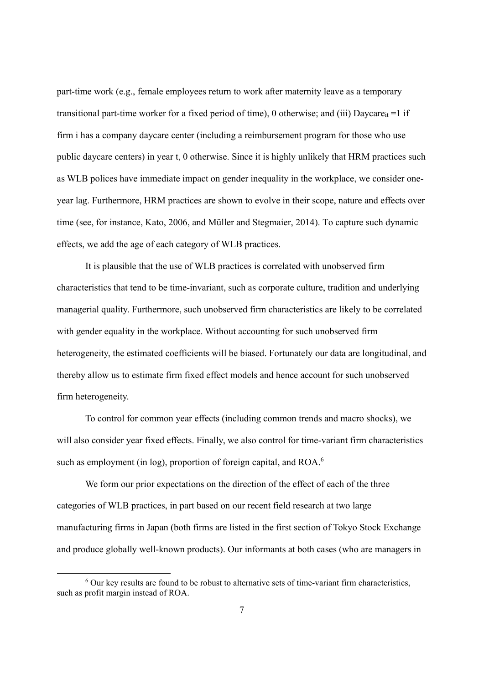part-time work (e.g., female employees return to work after maternity leave as a temporary transitional part-time worker for a fixed period of time), 0 otherwise; and (iii) Daycare<sub>it</sub> =1 if firm i has a company daycare center (including a reimbursement program for those who use public daycare centers) in year t, 0 otherwise. Since it is highly unlikely that HRM practices such as WLB polices have immediate impact on gender inequality in the workplace, we consider oneyear lag. Furthermore, HRM practices are shown to evolve in their scope, nature and effects over time (see, for instance, Kato, 2006, and Müller and Stegmaier, 2014). To capture such dynamic effects, we add the age of each category of WLB practices.

 It is plausible that the use of WLB practices is correlated with unobserved firm characteristics that tend to be time-invariant, such as corporate culture, tradition and underlying managerial quality. Furthermore, such unobserved firm characteristics are likely to be correlated with gender equality in the workplace. Without accounting for such unobserved firm heterogeneity, the estimated coefficients will be biased. Fortunately our data are longitudinal, and thereby allow us to estimate firm fixed effect models and hence account for such unobserved firm heterogeneity.

 To control for common year effects (including common trends and macro shocks), we will also consider year fixed effects. Finally, we also control for time-variant firm characteristics such as employment (in log), proportion of foreign capital, and ROA.<sup>6</sup>

 We form our prior expectations on the direction of the effect of each of the three categories of WLB practices, in part based on our recent field research at two large manufacturing firms in Japan (both firms are listed in the first section of Tokyo Stock Exchange and produce globally well-known products). Our informants at both cases (who are managers in

 <sup>6</sup>  $6$  Our key results are found to be robust to alternative sets of time-variant firm characteristics, such as profit margin instead of ROA.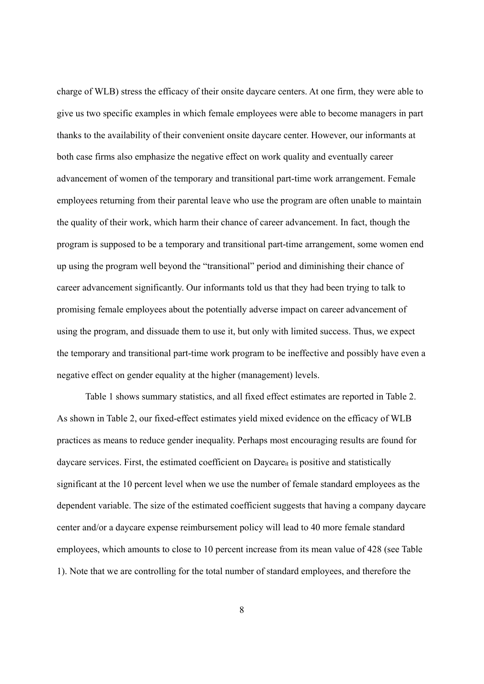charge of WLB) stress the efficacy of their onsite daycare centers. At one firm, they were able to give us two specific examples in which female employees were able to become managers in part thanks to the availability of their convenient onsite daycare center. However, our informants at both case firms also emphasize the negative effect on work quality and eventually career advancement of women of the temporary and transitional part-time work arrangement. Female employees returning from their parental leave who use the program are often unable to maintain the quality of their work, which harm their chance of career advancement. In fact, though the program is supposed to be a temporary and transitional part-time arrangement, some women end up using the program well beyond the "transitional" period and diminishing their chance of career advancement significantly. Our informants told us that they had been trying to talk to promising female employees about the potentially adverse impact on career advancement of using the program, and dissuade them to use it, but only with limited success. Thus, we expect the temporary and transitional part-time work program to be ineffective and possibly have even a negative effect on gender equality at the higher (management) levels.

Table 1 shows summary statistics, and all fixed effect estimates are reported in Table 2. As shown in Table 2, our fixed-effect estimates yield mixed evidence on the efficacy of WLB practices as means to reduce gender inequality. Perhaps most encouraging results are found for daycare services. First, the estimated coefficient on Daycare $\mu$  is positive and statistically significant at the 10 percent level when we use the number of female standard employees as the dependent variable. The size of the estimated coefficient suggests that having a company daycare center and/or a daycare expense reimbursement policy will lead to 40 more female standard employees, which amounts to close to 10 percent increase from its mean value of 428 (see Table 1). Note that we are controlling for the total number of standard employees, and therefore the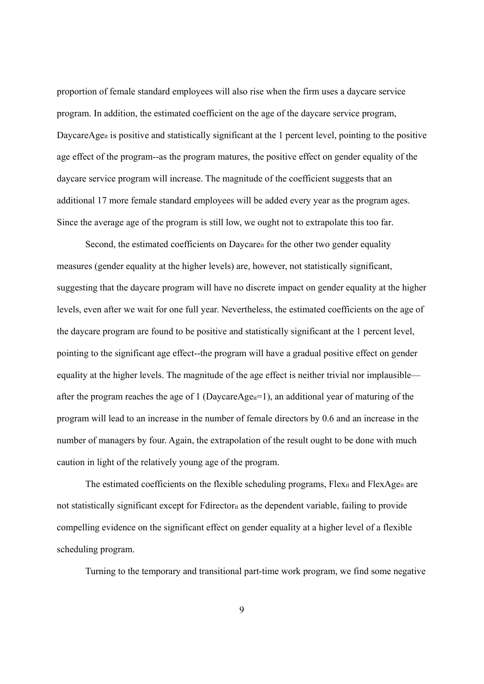proportion of female standard employees will also rise when the firm uses a daycare service program. In addition, the estimated coefficient on the age of the daycare service program, DaycareAge<sub>it</sub> is positive and statistically significant at the 1 percent level, pointing to the positive age effect of the program--as the program matures, the positive effect on gender equality of the daycare service program will increase. The magnitude of the coefficient suggests that an additional 17 more female standard employees will be added every year as the program ages. Since the average age of the program is still low, we ought not to extrapolate this too far.

Second, the estimated coefficients on Daycaret for the other two gender equality measures (gender equality at the higher levels) are, however, not statistically significant, suggesting that the daycare program will have no discrete impact on gender equality at the higher levels, even after we wait for one full year. Nevertheless, the estimated coefficients on the age of the daycare program are found to be positive and statistically significant at the 1 percent level, pointing to the significant age effect--the program will have a gradual positive effect on gender equality at the higher levels. The magnitude of the age effect is neither trivial nor implausible after the program reaches the age of 1 (DaycareAge<sub>it</sub>=1), an additional year of maturing of the program will lead to an increase in the number of female directors by 0.6 and an increase in the number of managers by four. Again, the extrapolation of the result ought to be done with much caution in light of the relatively young age of the program.

The estimated coefficients on the flexible scheduling programs, Flex<sub>it</sub> and FlexAge<sub>it</sub> are not statistically significant except for Fdirectorit as the dependent variable, failing to provide compelling evidence on the significant effect on gender equality at a higher level of a flexible scheduling program.

Turning to the temporary and transitional part-time work program, we find some negative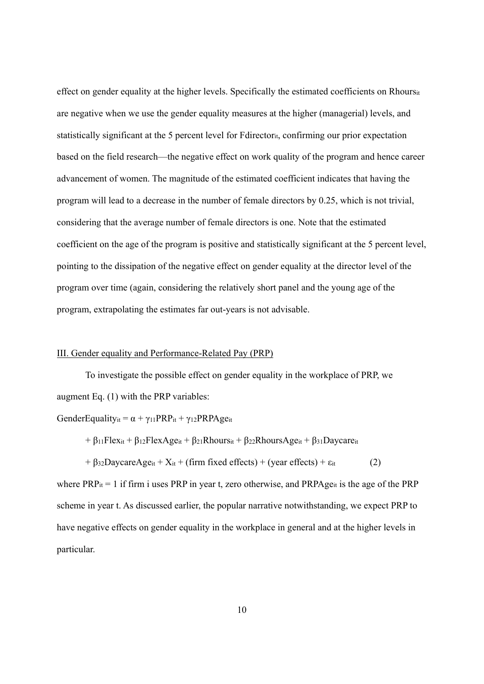effect on gender equality at the higher levels. Specifically the estimated coefficients on Rhoursit are negative when we use the gender equality measures at the higher (managerial) levels, and statistically significant at the 5 percent level for Fdirectorit, confirming our prior expectation based on the field research—the negative effect on work quality of the program and hence career advancement of women. The magnitude of the estimated coefficient indicates that having the program will lead to a decrease in the number of female directors by 0.25, which is not trivial, considering that the average number of female directors is one. Note that the estimated coefficient on the age of the program is positive and statistically significant at the 5 percent level, pointing to the dissipation of the negative effect on gender equality at the director level of the program over time (again, considering the relatively short panel and the young age of the program, extrapolating the estimates far out-years is not advisable.

#### III. Gender equality and Performance-Related Pay (PRP)

To investigate the possible effect on gender equality in the workplace of PRP, we augment Eq. (1) with the PRP variables:

GenderEquality<sub>it</sub> =  $\alpha + \gamma_{11}PRP_{it} + \gamma_{12}PRPAge_{it}$ 

$$
+\beta_{11}Flex_{it}+\beta_{12}FlexAge_{it}+\beta_{21}Rhours_{it}+\beta_{22}RhoursAge_{it}+\beta_{31}Daycare_{it}
$$

$$
+\beta_{32} \text{DaycareAge}_{it} + X_{it} + (\text{firm fixed effects}) + (\text{year effects}) + \epsilon_{it}
$$
 (2)

where  $PRP_{it} = 1$  if firm i uses PRP in year t, zero otherwise, and  $PRPAge_{it}$  is the age of the PRP scheme in year t. As discussed earlier, the popular narrative notwithstanding, we expect PRP to have negative effects on gender equality in the workplace in general and at the higher levels in particular.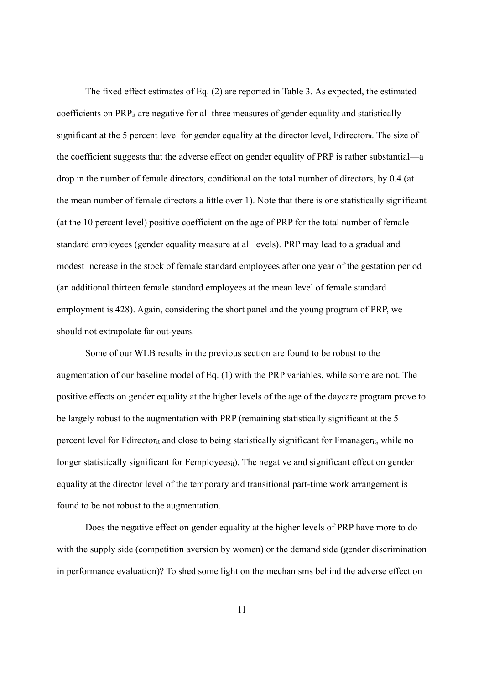The fixed effect estimates of Eq. (2) are reported in Table 3. As expected, the estimated coefficients on PRPit are negative for all three measures of gender equality and statistically significant at the 5 percent level for gender equality at the director level, Fdirector<sub>it</sub>. The size of the coefficient suggests that the adverse effect on gender equality of PRP is rather substantial—a drop in the number of female directors, conditional on the total number of directors, by 0.4 (at the mean number of female directors a little over 1). Note that there is one statistically significant (at the 10 percent level) positive coefficient on the age of PRP for the total number of female standard employees (gender equality measure at all levels). PRP may lead to a gradual and modest increase in the stock of female standard employees after one year of the gestation period (an additional thirteen female standard employees at the mean level of female standard employment is 428). Again, considering the short panel and the young program of PRP, we should not extrapolate far out-years.

 Some of our WLB results in the previous section are found to be robust to the augmentation of our baseline model of Eq. (1) with the PRP variables, while some are not. The positive effects on gender equality at the higher levels of the age of the daycare program prove to be largely robust to the augmentation with PRP (remaining statistically significant at the 5 percent level for Fdirector<sub>it</sub> and close to being statistically significant for Fmanager<sub>it</sub>, while no longer statistically significant for Femployees<sub>it</sub>). The negative and significant effect on gender equality at the director level of the temporary and transitional part-time work arrangement is found to be not robust to the augmentation.

 Does the negative effect on gender equality at the higher levels of PRP have more to do with the supply side (competition aversion by women) or the demand side (gender discrimination in performance evaluation)? To shed some light on the mechanisms behind the adverse effect on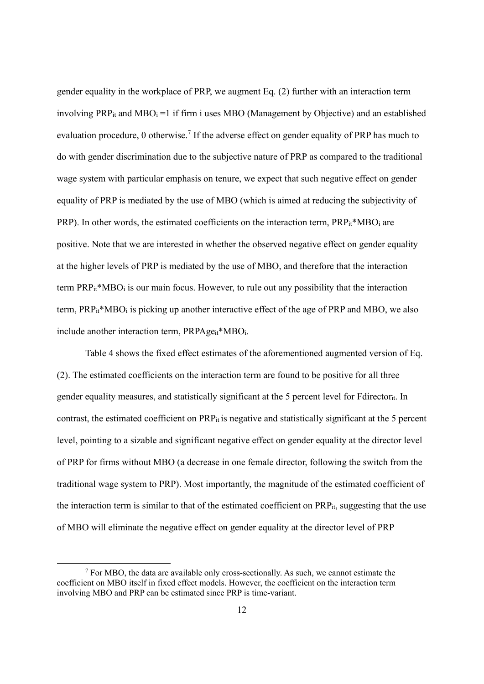gender equality in the workplace of PRP, we augment Eq. (2) further with an interaction term involving  $PRP_{it}$  and  $MBO_i =1$  if firm i uses MBO (Management by Objective) and an established evaluation procedure, 0 otherwise.<sup>7</sup> If the adverse effect on gender equality of PRP has much to do with gender discrimination due to the subjective nature of PRP as compared to the traditional wage system with particular emphasis on tenure, we expect that such negative effect on gender equality of PRP is mediated by the use of MBO (which is aimed at reducing the subjectivity of PRP). In other words, the estimated coefficients on the interaction term, PRP<sub>it</sub>\*MBO<sub>i</sub> are positive. Note that we are interested in whether the observed negative effect on gender equality at the higher levels of PRP is mediated by the use of MBO, and therefore that the interaction term  $PRP_{it} * MBO_i$  is our main focus. However, to rule out any possibility that the interaction term,  $PRP_{it} * MBO_i$  is picking up another interactive effect of the age of  $PRP$  and  $MBO$ , we also include another interaction term, PRPAge<sub>it</sub>\*MBO<sub>i</sub>.

 Table 4 shows the fixed effect estimates of the aforementioned augmented version of Eq. (2). The estimated coefficients on the interaction term are found to be positive for all three gender equality measures, and statistically significant at the 5 percent level for Fdirectorit. In contrast, the estimated coefficient on PRP<sub>it</sub> is negative and statistically significant at the 5 percent level, pointing to a sizable and significant negative effect on gender equality at the director level of PRP for firms without MBO (a decrease in one female director, following the switch from the traditional wage system to PRP). Most importantly, the magnitude of the estimated coefficient of the interaction term is similar to that of the estimated coefficient on PRPit, suggesting that the use of MBO will eliminate the negative effect on gender equality at the director level of PRP

 $\begin{array}{c|c}\n\hline\n\hline\n\end{array}$  $<sup>7</sup>$  For MBO, the data are available only cross-sectionally. As such, we cannot estimate the</sup> coefficient on MBO itself in fixed effect models. However, the coefficient on the interaction term involving MBO and PRP can be estimated since PRP is time-variant.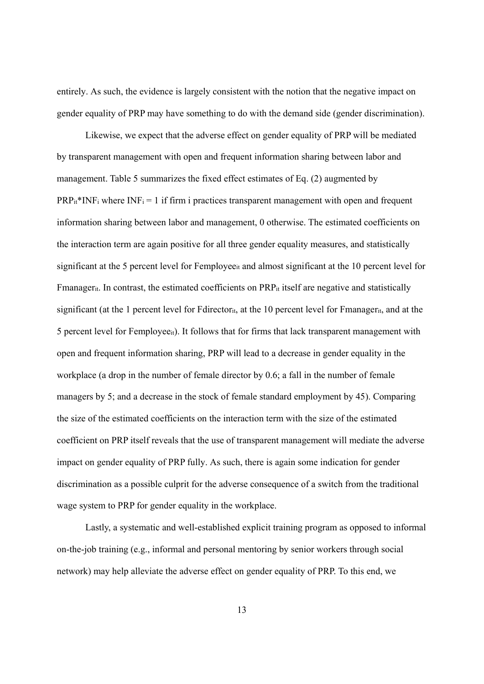entirely. As such, the evidence is largely consistent with the notion that the negative impact on gender equality of PRP may have something to do with the demand side (gender discrimination).

 Likewise, we expect that the adverse effect on gender equality of PRP will be mediated by transparent management with open and frequent information sharing between labor and management. Table 5 summarizes the fixed effect estimates of Eq. (2) augmented by  $PRP_{it}$ <sup>\*</sup>INF<sub>i</sub> where INF<sub>i</sub> = 1 if firm i practices transparent management with open and frequent information sharing between labor and management, 0 otherwise. The estimated coefficients on the interaction term are again positive for all three gender equality measures, and statistically significant at the 5 percent level for Femployee<sub>it</sub> and almost significant at the 10 percent level for Fmanager<sub>it</sub>. In contrast, the estimated coefficients on PRP<sub>it</sub> itself are negative and statistically significant (at the 1 percent level for Fdirector<sub>it</sub>, at the 10 percent level for Fmanager<sub>it</sub>, and at the 5 percent level for Femployeeit). It follows that for firms that lack transparent management with open and frequent information sharing, PRP will lead to a decrease in gender equality in the workplace (a drop in the number of female director by 0.6; a fall in the number of female managers by 5; and a decrease in the stock of female standard employment by 45). Comparing the size of the estimated coefficients on the interaction term with the size of the estimated coefficient on PRP itself reveals that the use of transparent management will mediate the adverse impact on gender equality of PRP fully. As such, there is again some indication for gender discrimination as a possible culprit for the adverse consequence of a switch from the traditional wage system to PRP for gender equality in the workplace.

 Lastly, a systematic and well-established explicit training program as opposed to informal on-the-job training (e.g., informal and personal mentoring by senior workers through social network) may help alleviate the adverse effect on gender equality of PRP. To this end, we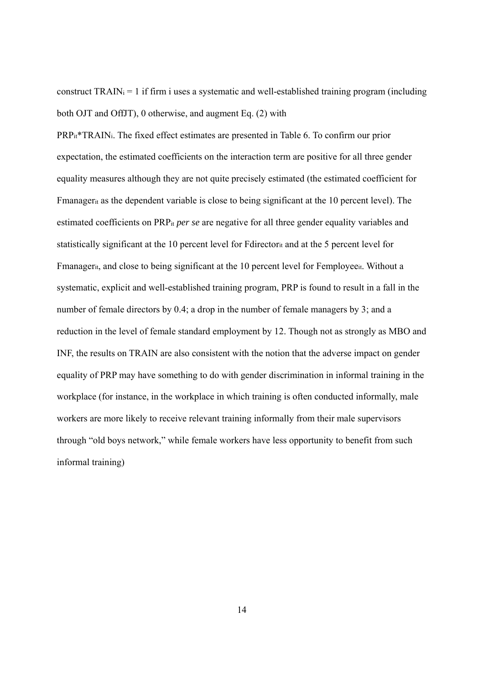construct  $TRAIN_i = 1$  if firm i uses a systematic and well-established training program (including both OJT and OffJT), 0 otherwise, and augment Eq. (2) with

PRPit\*TRAINi. The fixed effect estimates are presented in Table 6. To confirm our prior expectation, the estimated coefficients on the interaction term are positive for all three gender equality measures although they are not quite precisely estimated (the estimated coefficient for Fmanagerit as the dependent variable is close to being significant at the 10 percent level). The estimated coefficients on PRPit *per se* are negative for all three gender equality variables and statistically significant at the 10 percent level for Fdirectorit and at the 5 percent level for Fmanager<sub>it</sub>, and close to being significant at the 10 percent level for Femployee<sub>it</sub>. Without a systematic, explicit and well-established training program, PRP is found to result in a fall in the number of female directors by 0.4; a drop in the number of female managers by 3; and a reduction in the level of female standard employment by 12. Though not as strongly as MBO and INF, the results on TRAIN are also consistent with the notion that the adverse impact on gender equality of PRP may have something to do with gender discrimination in informal training in the workplace (for instance, in the workplace in which training is often conducted informally, male workers are more likely to receive relevant training informally from their male supervisors through "old boys network," while female workers have less opportunity to benefit from such informal training)

14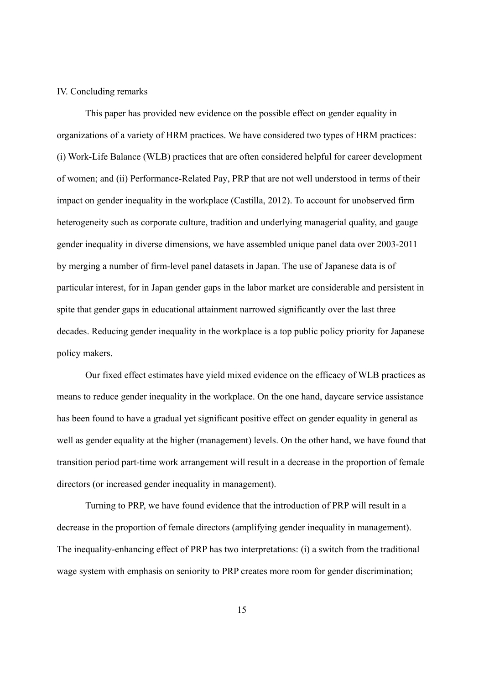#### IV. Concluding remarks

This paper has provided new evidence on the possible effect on gender equality in organizations of a variety of HRM practices. We have considered two types of HRM practices: (i) Work-Life Balance (WLB) practices that are often considered helpful for career development of women; and (ii) Performance-Related Pay, PRP that are not well understood in terms of their impact on gender inequality in the workplace (Castilla, 2012). To account for unobserved firm heterogeneity such as corporate culture, tradition and underlying managerial quality, and gauge gender inequality in diverse dimensions, we have assembled unique panel data over 2003-2011 by merging a number of firm-level panel datasets in Japan. The use of Japanese data is of particular interest, for in Japan gender gaps in the labor market are considerable and persistent in spite that gender gaps in educational attainment narrowed significantly over the last three decades. Reducing gender inequality in the workplace is a top public policy priority for Japanese policy makers.

Our fixed effect estimates have yield mixed evidence on the efficacy of WLB practices as means to reduce gender inequality in the workplace. On the one hand, daycare service assistance has been found to have a gradual yet significant positive effect on gender equality in general as well as gender equality at the higher (management) levels. On the other hand, we have found that transition period part-time work arrangement will result in a decrease in the proportion of female directors (or increased gender inequality in management).

Turning to PRP, we have found evidence that the introduction of PRP will result in a decrease in the proportion of female directors (amplifying gender inequality in management). The inequality-enhancing effect of PRP has two interpretations: (i) a switch from the traditional wage system with emphasis on seniority to PRP creates more room for gender discrimination;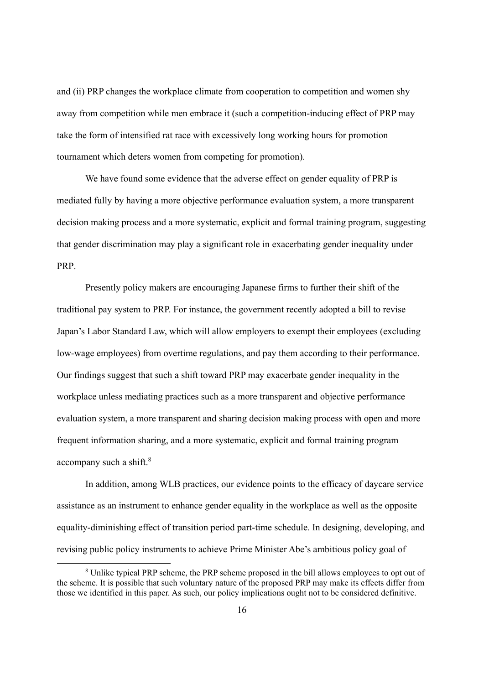and (ii) PRP changes the workplace climate from cooperation to competition and women shy away from competition while men embrace it (such a competition-inducing effect of PRP may take the form of intensified rat race with excessively long working hours for promotion tournament which deters women from competing for promotion).

We have found some evidence that the adverse effect on gender equality of PRP is mediated fully by having a more objective performance evaluation system, a more transparent decision making process and a more systematic, explicit and formal training program, suggesting that gender discrimination may play a significant role in exacerbating gender inequality under PRP.

Presently policy makers are encouraging Japanese firms to further their shift of the traditional pay system to PRP. For instance, the government recently adopted a bill to revise Japan's Labor Standard Law, which will allow employers to exempt their employees (excluding low-wage employees) from overtime regulations, and pay them according to their performance. Our findings suggest that such a shift toward PRP may exacerbate gender inequality in the workplace unless mediating practices such as a more transparent and objective performance evaluation system, a more transparent and sharing decision making process with open and more frequent information sharing, and a more systematic, explicit and formal training program accompany such a shift. $8$ 

In addition, among WLB practices, our evidence points to the efficacy of daycare service assistance as an instrument to enhance gender equality in the workplace as well as the opposite equality-diminishing effect of transition period part-time schedule. In designing, developing, and revising public policy instruments to achieve Prime Minister Abe's ambitious policy goal of

 <sup>8</sup> <sup>8</sup> Unlike typical PRP scheme, the PRP scheme proposed in the bill allows employees to opt out of the scheme. It is possible that such voluntary nature of the proposed PRP may make its effects differ from those we identified in this paper. As such, our policy implications ought not to be considered definitive.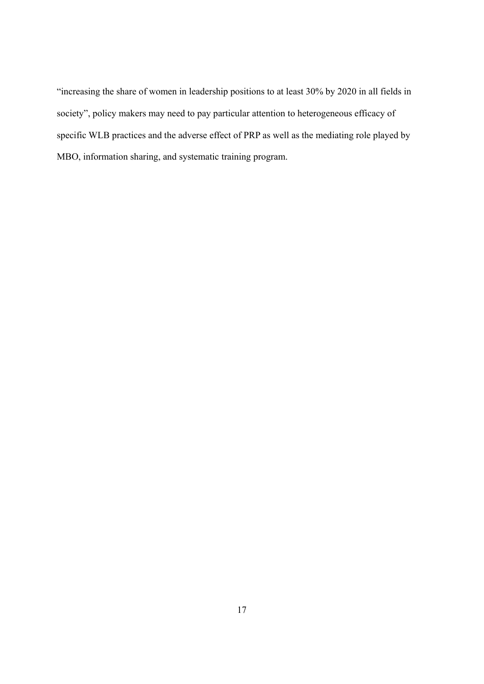"increasing the share of women in leadership positions to at least 30% by 2020 in all fields in society", policy makers may need to pay particular attention to heterogeneous efficacy of specific WLB practices and the adverse effect of PRP as well as the mediating role played by MBO, information sharing, and systematic training program.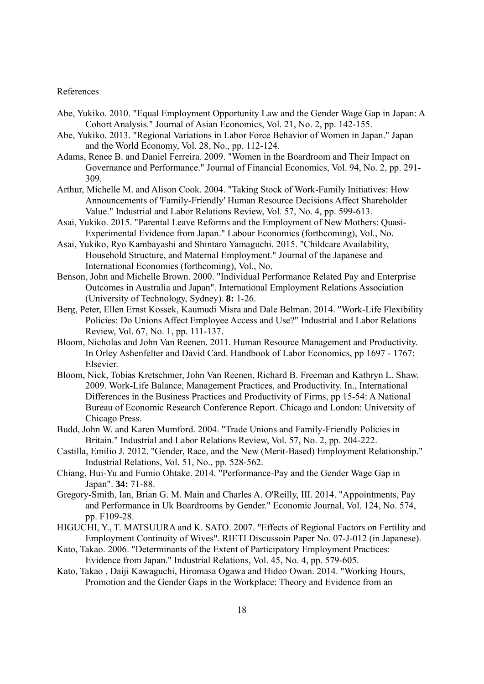#### References

- Abe, Yukiko. 2010. "Equal Employment Opportunity Law and the Gender Wage Gap in Japan: A Cohort Analysis." Journal of Asian Economics, Vol. 21, No. 2, pp. 142-155.
- Abe, Yukiko. 2013. "Regional Variations in Labor Force Behavior of Women in Japan." Japan and the World Economy, Vol. 28, No., pp. 112-124.
- Adams, Renee B. and Daniel Ferreira. 2009. "Women in the Boardroom and Their Impact on Governance and Performance." Journal of Financial Economics, Vol. 94, No. 2, pp. 291- 309.
- Arthur, Michelle M. and Alison Cook. 2004. "Taking Stock of Work-Family Initiatives: How Announcements of 'Family-Friendly' Human Resource Decisions Affect Shareholder Value." Industrial and Labor Relations Review, Vol. 57, No. 4, pp. 599-613.
- Asai, Yukiko. 2015. "Parental Leave Reforms and the Employment of New Mothers: Quasi-Experimental Evidence from Japan." Labour Economics (forthcoming), Vol., No.
- Asai, Yukiko, Ryo Kambayashi and Shintaro Yamaguchi. 2015. "Childcare Availability, Household Structure, and Maternal Employment." Journal of the Japanese and International Economies (forthcoming), Vol., No.
- Benson, John and Michelle Brown. 2000. "Individual Performance Related Pay and Enterprise Outcomes in Australia and Japan". International Employment Relations Association (University of Technology, Sydney). **8:** 1-26.
- Berg, Peter, Ellen Ernst Kossek, Kaumudi Misra and Dale Belman. 2014. "Work-Life Flexibility Policies: Do Unions Affect Employee Access and Use?" Industrial and Labor Relations Review, Vol. 67, No. 1, pp. 111-137.
- Bloom, Nicholas and John Van Reenen. 2011. Human Resource Management and Productivity. In Orley Ashenfelter and David Card. Handbook of Labor Economics, pp 1697 - 1767: Elsevier.
- Bloom, Nick, Tobias Kretschmer, John Van Reenen, Richard B. Freeman and Kathryn L. Shaw. 2009. Work-Life Balance, Management Practices, and Productivity. In., International Differences in the Business Practices and Productivity of Firms, pp 15-54: A National Bureau of Economic Research Conference Report. Chicago and London: University of Chicago Press.
- Budd, John W. and Karen Mumford. 2004. "Trade Unions and Family-Friendly Policies in Britain." Industrial and Labor Relations Review, Vol. 57, No. 2, pp. 204-222.
- Castilla, Emilio J. 2012. "Gender, Race, and the New (Merit-Based) Employment Relationship." Industrial Relations, Vol. 51, No., pp. 528-562.
- Chiang, Hui-Yu and Fumio Ohtake. 2014. "Performance-Pay and the Gender Wage Gap in Japan". **34:** 71-88.
- Gregory-Smith, Ian, Brian G. M. Main and Charles A. O'Reilly, III. 2014. "Appointments, Pay and Performance in Uk Boardrooms by Gender." Economic Journal, Vol. 124, No. 574, pp. F109-28.
- HIGUCHI, Y., T. MATSUURA and K. SATO. 2007. "Effects of Regional Factors on Fertility and Employment Continuity of Wives". RIETI Discussoin Paper No. 07-J-012 (in Japanese).
- Kato, Takao. 2006. "Determinants of the Extent of Participatory Employment Practices: Evidence from Japan." Industrial Relations, Vol. 45, No. 4, pp. 579-605.
- Kato, Takao , Daiji Kawaguchi, Hiromasa Ogawa and Hideo Owan. 2014. "Working Hours, Promotion and the Gender Gaps in the Workplace: Theory and Evidence from an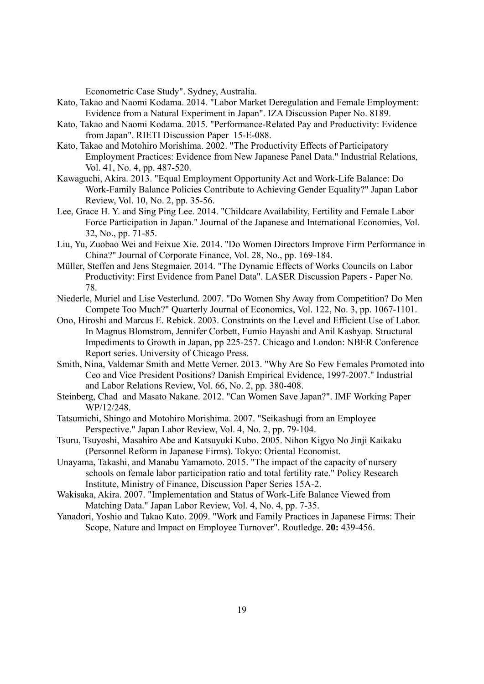Econometric Case Study". Sydney, Australia.

- Kato, Takao and Naomi Kodama. 2014. "Labor Market Deregulation and Female Employment: Evidence from a Natural Experiment in Japan". IZA Discussion Paper No. 8189.
- Kato, Takao and Naomi Kodama. 2015. "Performance-Related Pay and Productivity: Evidence from Japan". RIETI Discussion Paper 15-E-088.
- Kato, Takao and Motohiro Morishima. 2002. "The Productivity Effects of Participatory Employment Practices: Evidence from New Japanese Panel Data." Industrial Relations, Vol. 41, No. 4, pp. 487-520.
- Kawaguchi, Akira. 2013. "Equal Employment Opportunity Act and Work-Life Balance: Do Work-Family Balance Policies Contribute to Achieving Gender Equality?" Japan Labor Review, Vol. 10, No. 2, pp. 35-56.
- Lee, Grace H. Y. and Sing Ping Lee. 2014. "Childcare Availability, Fertility and Female Labor Force Participation in Japan." Journal of the Japanese and International Economies, Vol. 32, No., pp. 71-85.
- Liu, Yu, Zuobao Wei and Feixue Xie. 2014. "Do Women Directors Improve Firm Performance in China?" Journal of Corporate Finance, Vol. 28, No., pp. 169-184.
- Müller, Steffen and Jens Stegmaier. 2014. "The Dynamic Effects of Works Councils on Labor Productivity: First Evidence from Panel Data". LASER Discussion Papers - Paper No. 78.
- Niederle, Muriel and Lise Vesterlund. 2007. "Do Women Shy Away from Competition? Do Men Compete Too Much?" Quarterly Journal of Economics, Vol. 122, No. 3, pp. 1067-1101.
- Ono, Hiroshi and Marcus E. Rebick. 2003. Constraints on the Level and Efficient Use of Labor. In Magnus Blomstrom, Jennifer Corbett, Fumio Hayashi and Anil Kashyap. Structural Impediments to Growth in Japan, pp 225-257. Chicago and London: NBER Conference Report series. University of Chicago Press.
- Smith, Nina, Valdemar Smith and Mette Verner. 2013. "Why Are So Few Females Promoted into Ceo and Vice President Positions? Danish Empirical Evidence, 1997-2007." Industrial and Labor Relations Review, Vol. 66, No. 2, pp. 380-408.
- Steinberg, Chad and Masato Nakane. 2012. "Can Women Save Japan?". IMF Working Paper WP/12/248.
- Tatsumichi, Shingo and Motohiro Morishima. 2007. "Seikashugi from an Employee Perspective." Japan Labor Review, Vol. 4, No. 2, pp. 79-104.
- Tsuru, Tsuyoshi, Masahiro Abe and Katsuyuki Kubo. 2005. Nihon Kigyo No Jinji Kaikaku (Personnel Reform in Japanese Firms). Tokyo: Oriental Economist.
- Unayama, Takashi, and Manabu Yamamoto. 2015. "The impact of the capacity of nursery schools on female labor participation ratio and total fertility rate." Policy Research Institute, Ministry of Finance, Discussion Paper Series 15A-2.
- Wakisaka, Akira. 2007. "Implementation and Status of Work-Life Balance Viewed from Matching Data." Japan Labor Review, Vol. 4, No. 4, pp. 7-35.
- Yanadori, Yoshio and Takao Kato. 2009. "Work and Family Practices in Japanese Firms: Their Scope, Nature and Impact on Employee Turnover". Routledge. **20:** 439-456.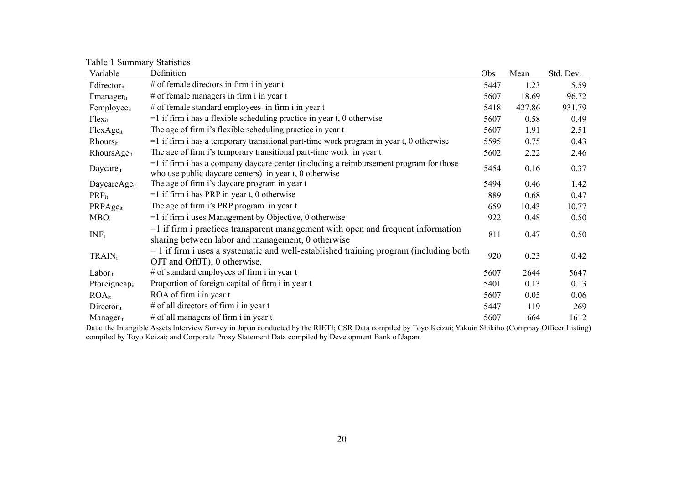Table 1 Summary Statistics

| Variable                    | Definition                                                                                                                                          | Obs  | Mean   | Std. Dev. |
|-----------------------------|-----------------------------------------------------------------------------------------------------------------------------------------------------|------|--------|-----------|
| Fdirectorit                 | # of female directors in firm i in year $t$                                                                                                         | 5447 | 1.23   | 5.59      |
| Fmanager <sub>it</sub>      | # of female managers in firm i in year t                                                                                                            | 5607 | 18.69  | 96.72     |
| Femployee <sub>it</sub>     | # of female standard employees in firm i in year t                                                                                                  | 5418 | 427.86 | 931.79    |
| $Flex_{it}$                 | $=$ 1 if firm i has a flexible scheduling practice in year t, 0 otherwise                                                                           | 5607 | 0.58   | 0.49      |
| FlexAge <sub>it</sub>       | The age of firm i's flexible scheduling practice in year t                                                                                          | 5607 | 1.91   | 2.51      |
| <b>Rhours</b> <sub>it</sub> | $=$ 1 if firm i has a temporary transitional part-time work program in year t, 0 otherwise                                                          | 5595 | 0.75   | 0.43      |
| RhoursAge <sub>it</sub>     | The age of firm i's temporary transitional part-time work in year t                                                                                 | 5602 | 2.22   | 2.46      |
| Daycare <sub>it</sub>       | $=$ 1 if firm i has a company daycare center (including a reimbursement program for those<br>who use public daycare centers) in year t, 0 otherwise | 5454 | 0.16   | 0.37      |
| DaycareAge <sub>it</sub>    | The age of firm i's daycare program in year t                                                                                                       | 5494 | 0.46   | 1.42      |
| $PRP_{it}$                  | $=1$ if firm i has PRP in year t, 0 otherwise                                                                                                       | 889  | 0.68   | 0.47      |
| PRPAgeit                    | The age of firm i's PRP program in year t                                                                                                           | 659  | 10.43  | 10.77     |
| MBO <sub>i</sub>            | $=$ 1 if firm i uses Management by Objective, 0 otherwise                                                                                           | 922  | 0.48   | 0.50      |
| $INF_i$                     | $=$ 1 if firm i practices transparent management with open and frequent information<br>sharing between labor and management, 0 otherwise            | 811  | 0.47   | 0.50      |
| $TRAIN_i$                   | $=$ 1 if firm i uses a systematic and well-established training program (including both<br>OJT and OffJT), 0 otherwise.                             | 920  | 0.23   | 0.42      |
| Labor <sub>it</sub>         | # of standard employees of firm i in year t                                                                                                         | 5607 | 2644   | 5647      |
| Pforeigncapit               | Proportion of foreign capital of firm i in year t                                                                                                   | 5401 | 0.13   | 0.13      |
| <b>ROA</b> it               | ROA of firm i in year t                                                                                                                             | 5607 | 0.05   | 0.06      |
| Directorit                  | # of all directors of firm i in year t                                                                                                              | 5447 | 119    | 269       |
| Manager <sub>it</sub>       | $#$ of all managers of firm i in year t                                                                                                             | 5607 | 664    | 1612      |

Data: the Intangible Assets Interview Survey in Japan conducted by the RIETI; CSR Data compiled by Toyo Keizai; Yakuin Shikiho (Compnay Officer Listing) compiled by Toyo Keizai; and Corporate Proxy Statement Data compiled by Development Bank of Japan.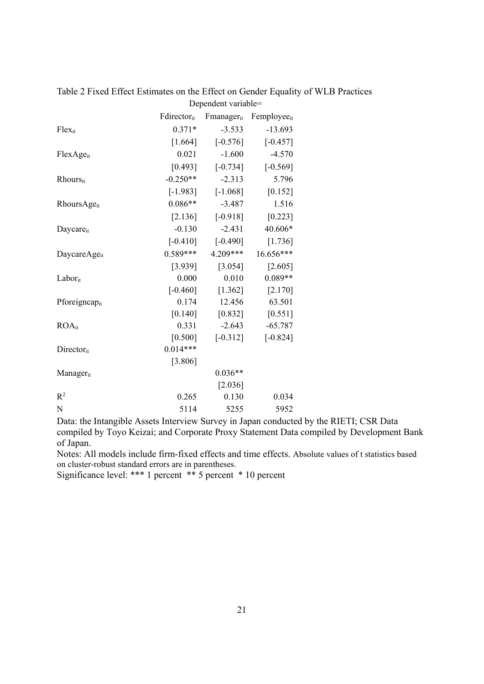|                             | Fdirectorit | Fmanager <sub>it</sub> | Femployee <sub>it</sub> |
|-----------------------------|-------------|------------------------|-------------------------|
| Flexit                      | $0.371*$    | $-3.533$               | $-13.693$               |
|                             | $[1.664]$   | $[-0.576]$             | $[-0.457]$              |
| $FlexAge_{it}$              | 0.021       | $-1.600$               | $-4.570$                |
|                             | [0.493]     | $[-0.734]$             | $[-0.569]$              |
| <b>Rhours</b> <sub>it</sub> | $-0.250**$  | $-2.313$               | 5.796                   |
|                             | $[-1.983]$  | $[-1.068]$             | $[0.152]$               |
| RhoursAgeit                 | $0.086**$   | $-3.487$               | 1.516                   |
|                             | [2.136]     | $[-0.918]$             | $[0.223]$               |
| Daycare <sub>it</sub>       | $-0.130$    | $-2.431$               | 40.606*                 |
|                             | $[-0.410]$  | $[-0.490]$             | [1.736]                 |
| DaycareAge <sub>it</sub>    | $0.589***$  | 4.209***               | 16.656***               |
|                             | [3.939]     | $[3.054]$              | $[2.605]$               |
| $Labor_{it}$                | 0.000       | 0.010                  | $0.089**$               |
|                             | $[-0.460]$  | [1.362]                | [2.170]                 |
| Pforeigncapit               | 0.174       | 12.456                 | 63.501                  |
|                             | [0.140]     | [0.832]                | $[0.551]$               |
| $ROA_{it}$                  | 0.331       | $-2.643$               | $-65.787$               |
|                             | $[0.500]$   | $[-0.312]$             | $[-0.824]$              |
| Directorit                  | $0.014***$  |                        |                         |
|                             | [3.806]     |                        |                         |
| Manager <sub>it</sub>       |             | $0.036**$              |                         |
|                             |             | [2.036]                |                         |
| $\mathbb{R}^2$              | 0.265       | 0.130                  | 0.034                   |
| N                           | 5114        | 5255                   | 5952                    |

Table 2 Fixed Effect Estimates on the Effect on Gender Equality of WLB Practices Dependent variable=

Notes: All models include firm-fixed effects and time effects. Absolute values of t statistics based on cluster-robust standard errors are in parentheses.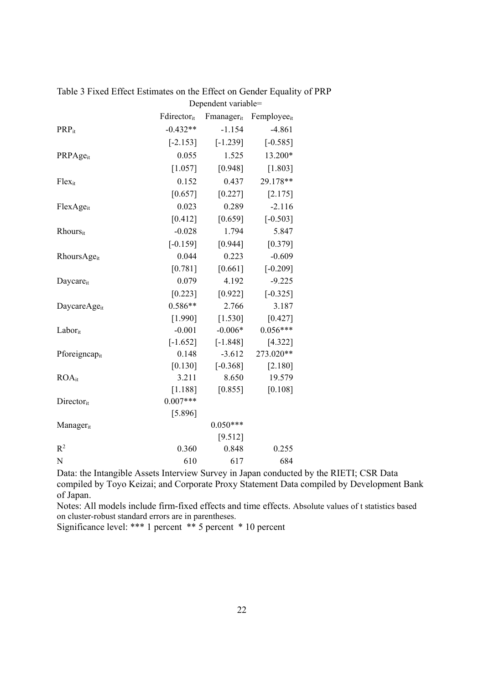|                          | Fdirectorit | Fmanagerit | Femployeeit |
|--------------------------|-------------|------------|-------------|
| <b>PRP</b> <sub>it</sub> | $-0.432**$  | $-1.154$   | $-4.861$    |
|                          | $[-2.153]$  | $[-1.239]$ | $[-0.585]$  |
| PRPAgeit                 | 0.055       | 1.525      | 13.200*     |
|                          | [1.057]     | [0.948]    | [1.803]     |
| Flexit                   | 0.152       | 0.437      | 29.178**    |
|                          | [0.657]     | [0.227]    | [2.175]     |
| FlexAgeit                | 0.023       | 0.289      | $-2.116$    |
|                          | [0.412]     | [0.659]    | $[-0.503]$  |
| Rhoursit                 | $-0.028$    | 1.794      | 5.847       |
|                          | $[-0.159]$  | [0.944]    | [0.379]     |
| RhoursAge <sub>it</sub>  | 0.044       | 0.223      | $-0.609$    |
|                          | [0.781]     | [0.661]    | $[-0.209]$  |
| Daycareit                | 0.079       | 4.192      | $-9.225$    |
|                          | [0.223]     | [0.922]    | $[-0.325]$  |
| DaycareAge <sub>it</sub> | $0.586**$   | 2.766      | 3.187       |
|                          | [1.990]     | [1.530]    | [0.427]     |
| $Labor_{it}$             | $-0.001$    | $-0.006*$  | $0.056***$  |
|                          | $[-1.652]$  | $[-1.848]$ | [4.322]     |
| Pforeigncapit            | 0.148       | $-3.612$   | 273.020**   |
|                          | [0.130]     | $[-0.368]$ | $[2.180]$   |
| $ROA_{it}$               | 3.211       | 8.650      | 19.579      |
|                          | [1.188]     | [0.855]    | [0.108]     |
| Directorit               | $0.007***$  |            |             |
|                          | [5.896]     |            |             |
| Managerit                |             | $0.050***$ |             |
|                          |             | [9.512]    |             |
| R <sup>2</sup>           | 0.360       | 0.848      | 0.255       |
| N                        | 610         | 617        | 684         |

Table 3 Fixed Effect Estimates on the Effect on Gender Equality of PRP Dependent variable=

Notes: All models include firm-fixed effects and time effects. Absolute values of t statistics based on cluster-robust standard errors are in parentheses.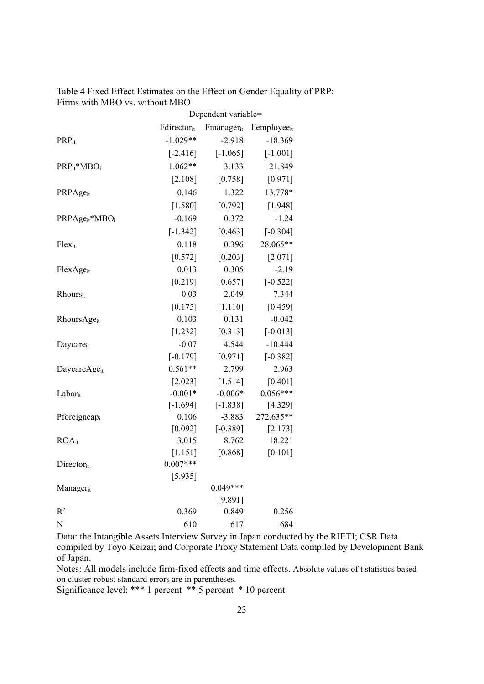| Table 4 Fixed Effect Estimates on the Effect on Gender Equality of PRP: |  |
|-------------------------------------------------------------------------|--|
| Firms with MBO vs. without MBO                                          |  |

|                                        | Dependent variable= |                  |                         |
|----------------------------------------|---------------------|------------------|-------------------------|
|                                        | Fdirectorit         | Fmanagerit       | Femployee <sub>it</sub> |
| $PRP_{it}$                             | $-1.029**$          | $-2.918$         | $-18.369$               |
|                                        | $[-2.416]$          | $[-1.065]$       | $[-1.001]$              |
| $PRP_{it}^*MBO_i$                      | $1.062**$           | 3.133            | 21.849                  |
|                                        | [2.108]             | [0.758]          | [0.971]                 |
| PRPAgeit                               | 0.146               | 1.322            | 13.778*                 |
|                                        | [1.580]             | [0.792]          | [1.948]                 |
| PRPAge <sub>it</sub> *MBO <sub>i</sub> | $-0.169$            | 0.372            | $-1.24$                 |
|                                        | $[-1.342]$          | [0.463]          | $[-0.304]$              |
| Flexit                                 | 0.118               | 0.396            | 28.065**                |
|                                        | [0.572]             | [0.203]          | [2.071]                 |
| FlexAgeit                              | 0.013               | 0.305            | $-2.19$                 |
|                                        | [0.219]             | [0.657]          | $[-0.522]$              |
| Rhoursit                               | 0.03                | 2.049            | 7.344                   |
|                                        | [0.175]             | [1.110]          | [0.459]                 |
| RhoursAgeit                            | 0.103               | 0.131            | $-0.042$                |
|                                        | [1.232]             | [0.313]          | $[-0.013]$              |
| Daycareit                              | $-0.07$             | 4.544            | $-10.444$               |
|                                        | $[-0.179]$          | [0.971]          | $[-0.382]$              |
| DaycareAge <sub>it</sub>               | $0.561**$           | 2.799            | 2.963                   |
|                                        | [2.023]             | [1.514]          | [0.401]                 |
| Laborit                                | $-0.001*$           | $-0.006*$        | $0.056***$              |
|                                        | $[-1.694]$          | $[-1.838]$       | [4.329]                 |
| Pforeigncapit                          | 0.106               | $-3.883$         | 272.635**               |
|                                        | [0.092]             | $[-0.389]$       | [2.173]                 |
| <b>ROA</b> it                          | 3.015               | 8.762            | 18.221                  |
|                                        | $[1.151]$           | [0.868]          | $[0.101]$               |
| Directorit                             | $0.007***$          |                  |                         |
|                                        | [5.935]             |                  |                         |
| Managerit                              |                     | $0.049***$       |                         |
| R <sup>2</sup>                         | 0.369               | [9.891]<br>0.849 | 0.256                   |
| N                                      | 610                 | 617              | 684                     |
|                                        |                     |                  |                         |

Notes: All models include firm-fixed effects and time effects. Absolute values of t statistics based on cluster-robust standard errors are in parentheses.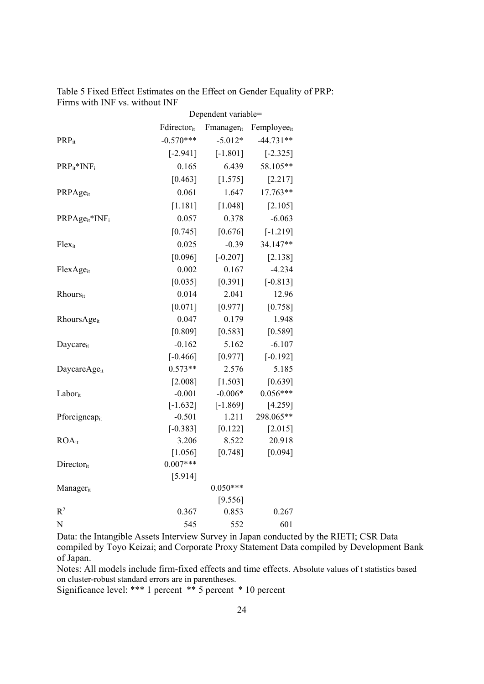| Table 5 Fixed Effect Estimates on the Effect on Gender Equality of PRP: |  |
|-------------------------------------------------------------------------|--|
| Firms with INF vs. without INF                                          |  |

|                                        | Dependent variable= |            |                         |
|----------------------------------------|---------------------|------------|-------------------------|
|                                        | Fdirectorit         | Fmanagerit | Femployee <sub>it</sub> |
| PRP <sub>it</sub>                      | $-0.570***$         | $-5.012*$  | $-44.731**$             |
|                                        | $[-2.941]$          | $[-1.801]$ | $[-2.325]$              |
| $PRP_{it}$ *IN $F_i$                   | 0.165               | 6.439      | 58.105**                |
|                                        | [0.463]             | [1.575]    | [2.217]                 |
| PRPAgeit                               | 0.061               | 1.647      | 17.763**                |
|                                        | [1.181]             | [1.048]    | [2.105]                 |
| PRPAge <sub>it</sub> *INF <sub>i</sub> | 0.057               | 0.378      | $-6.063$                |
|                                        | [0.745]             | [0.676]    | $[-1.219]$              |
| Flexit                                 | 0.025               | $-0.39$    | 34.147**                |
|                                        | [0.096]             | $[-0.207]$ | [2.138]                 |
| FlexAgeit                              | 0.002               | 0.167      | $-4.234$                |
|                                        | [0.035]             | [0.391]    | $[-0.813]$              |
| Rhoursit                               | 0.014               | 2.041      | 12.96                   |
|                                        | [0.071]             | [0.977]    | [0.758]                 |
| RhoursAgeit                            | 0.047               | 0.179      | 1.948                   |
|                                        | [0.809]             | [0.583]    | [0.589]                 |
| Daycareit                              | $-0.162$            | 5.162      | $-6.107$                |
|                                        | $[-0.466]$          | [0.977]    | $[-0.192]$              |
| DaycareAge <sub>it</sub>               | $0.573**$           | 2.576      | 5.185                   |
|                                        | [2.008]             | [1.503]    | [0.639]                 |
| Laborit                                | $-0.001$            | $-0.006*$  | $0.056***$              |
|                                        | $[-1.632]$          | $[-1.869]$ | [4.259]                 |
| Pforeigncapit                          | $-0.501$            | 1.211      | 298.065**               |
|                                        | $[-0.383]$          | $[0.122]$  | $[2.015]$               |
| <b>ROA</b> it                          | 3.206               | 8.522      | 20.918                  |
|                                        | [1.056]             | [0.748]    | [0.094]                 |
| Directorit                             | $0.007***$          |            |                         |
|                                        | [5.914]             |            |                         |
| Managerit                              |                     | $0.050***$ |                         |
|                                        |                     | [9.556]    |                         |
| R <sup>2</sup>                         | 0.367               | 0.853      | 0.267                   |
| N                                      | 545                 | 552        | 601                     |

Notes: All models include firm-fixed effects and time effects. Absolute values of t statistics based on cluster-robust standard errors are in parentheses.